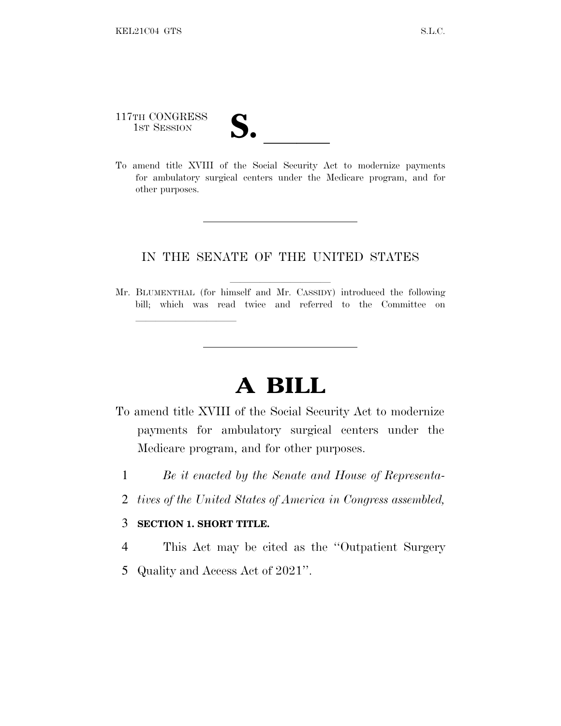117TH CONGRESS

lland and a state of the state of the state of the state of the state of the state of the state of the state o

117TH CONGRESS<br>
1ST SESSION<br>
To amend title XVIII of the Social Security Act to modernize payments for ambulatory surgical centers under the Medicare program, and for other purposes.

#### IN THE SENATE OF THE UNITED STATES

Mr. BLUMENTHAL (for himself and Mr. CASSIDY) introduced the following bill; which was read twice and referred to the Committee on

# **A BILL**

- To amend title XVIII of the Social Security Act to modernize payments for ambulatory surgical centers under the Medicare program, and for other purposes.
	- 1 *Be it enacted by the Senate and House of Representa-*
	- 2 *tives of the United States of America in Congress assembled,*

#### 3 **SECTION 1. SHORT TITLE.**

- 4 This Act may be cited as the ''Outpatient Surgery
- 5 Quality and Access Act of 2021''.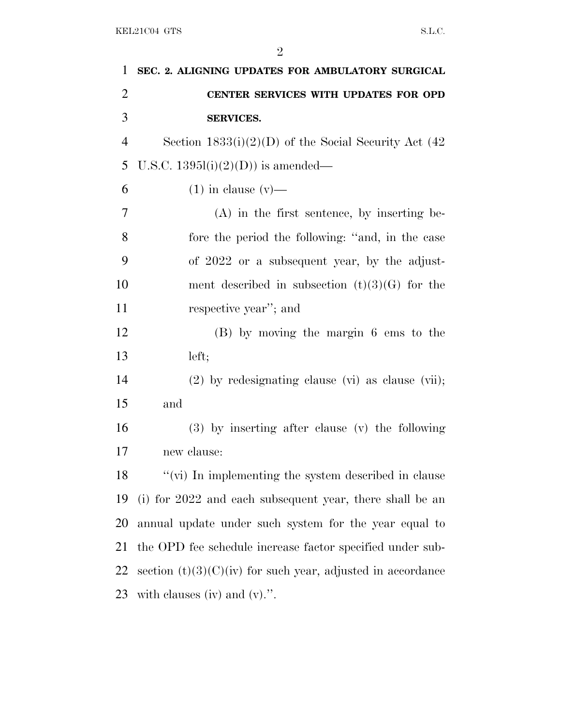| 1              | SEC. 2. ALIGNING UPDATES FOR AMBULATORY SURGICAL              |
|----------------|---------------------------------------------------------------|
| $\overline{2}$ | CENTER SERVICES WITH UPDATES FOR OPD                          |
| 3              | <b>SERVICES.</b>                                              |
| $\overline{4}$ | Section $1833(i)(2)(D)$ of the Social Security Act (42)       |
| 5              | U.S.C. $1395l(i)(2)(D)$ is amended—                           |
| 6              | $(1)$ in clause $(v)$ —                                       |
| 7              | $(A)$ in the first sentence, by inserting be-                 |
| 8              | fore the period the following: "and, in the case              |
| 9              | of 2022 or a subsequent year, by the adjust-                  |
| 10             | ment described in subsection $(t)(3)(G)$ for the              |
| 11             | respective year"; and                                         |
| 12             | (B) by moving the margin 6 ems to the                         |
| 13             | left;                                                         |
| 14             | $(2)$ by redesignating clause (vi) as clause (vii);           |
| 15             | and                                                           |
| 16             | $(3)$ by inserting after clause $(v)$ the following           |
| 17             | new clause:                                                   |
| 18             | "(vi) In implementing the system described in clause          |
| 19             | (i) for 2022 and each subsequent year, there shall be an      |
| 20             | annual update under such system for the year equal to         |
| 21             | the OPD fee schedule increase factor specified under sub-     |
| 22             | section $(t)(3)(C)(iv)$ for such year, adjusted in accordance |
| 23             | with clauses (iv) and $(v)$ .".                               |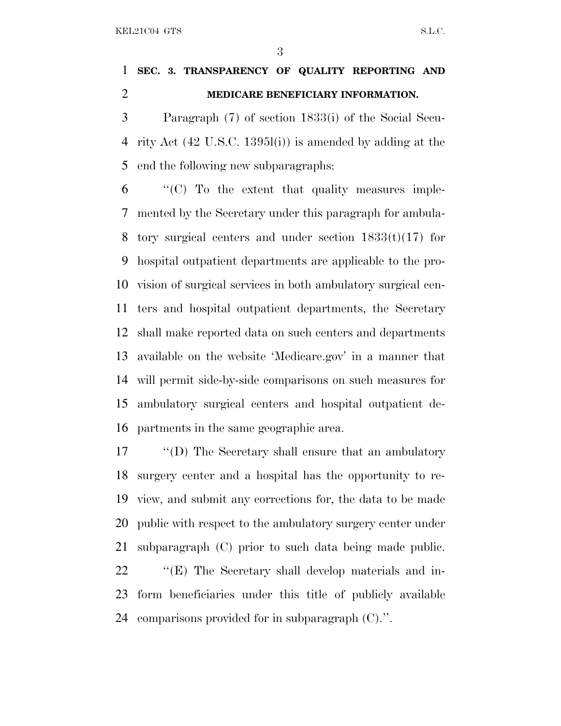### **SEC. 3. TRANSPARENCY OF QUALITY REPORTING AND MEDICARE BENEFICIARY INFORMATION.**

 Paragraph (7) of section 1833(i) of the Social Secu- rity Act (42 U.S.C. 1395l(i)) is amended by adding at the end the following new subparagraphs:

 "'(C) To the extent that quality measures imple- mented by the Secretary under this paragraph for ambula-8 tory surgical centers and under section  $1833(t)(17)$  for hospital outpatient departments are applicable to the pro- vision of surgical services in both ambulatory surgical cen- ters and hospital outpatient departments, the Secretary shall make reported data on such centers and departments available on the website 'Medicare.gov' in a manner that will permit side-by-side comparisons on such measures for ambulatory surgical centers and hospital outpatient de-partments in the same geographic area.

 ''(D) The Secretary shall ensure that an ambulatory surgery center and a hospital has the opportunity to re- view, and submit any corrections for, the data to be made public with respect to the ambulatory surgery center under subparagraph (C) prior to such data being made public. ''(E) The Secretary shall develop materials and in- form beneficiaries under this title of publicly available comparisons provided for in subparagraph (C).''.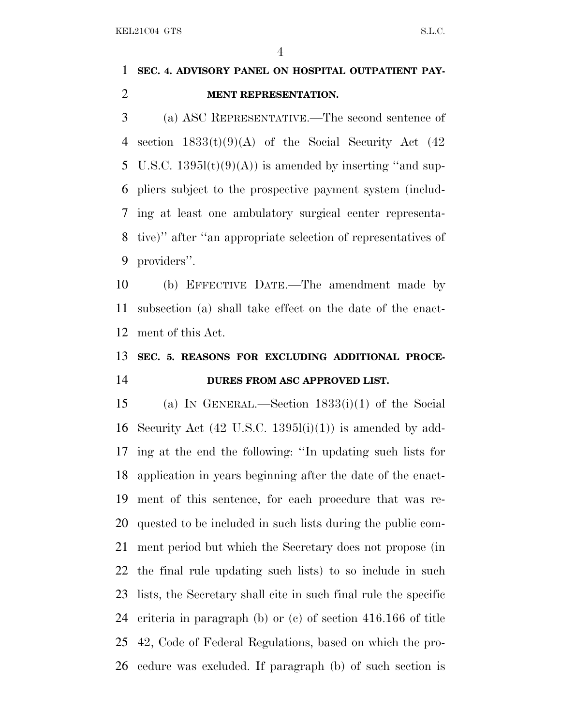### **SEC. 4. ADVISORY PANEL ON HOSPITAL OUTPATIENT PAY-MENT REPRESENTATION.**

 (a) ASC REPRESENTATIVE.—The second sentence of 4 section  $1833(t)(9)(A)$  of the Social Security Act  $(42)$ 5 U.S.C.  $1395l(t)(9)(A)$  is amended by inserting "and sup- pliers subject to the prospective payment system (includ- ing at least one ambulatory surgical center representa- tive)'' after ''an appropriate selection of representatives of providers''.

 (b) EFFECTIVE DATE.—The amendment made by subsection (a) shall take effect on the date of the enact-ment of this Act.

## **SEC. 5. REASONS FOR EXCLUDING ADDITIONAL PROCE-DURES FROM ASC APPROVED LIST.**

 (a) I<sup>N</sup> GENERAL.—Section 1833(i)(1) of the Social 16 Security Act  $(42 \text{ U.S.C. } 1395l(i)(1))$  is amended by add- ing at the end the following: ''In updating such lists for application in years beginning after the date of the enact- ment of this sentence, for each procedure that was re- quested to be included in such lists during the public com- ment period but which the Secretary does not propose (in the final rule updating such lists) to so include in such lists, the Secretary shall cite in such final rule the specific criteria in paragraph (b) or (c) of section 416.166 of title 42, Code of Federal Regulations, based on which the pro-cedure was excluded. If paragraph (b) of such section is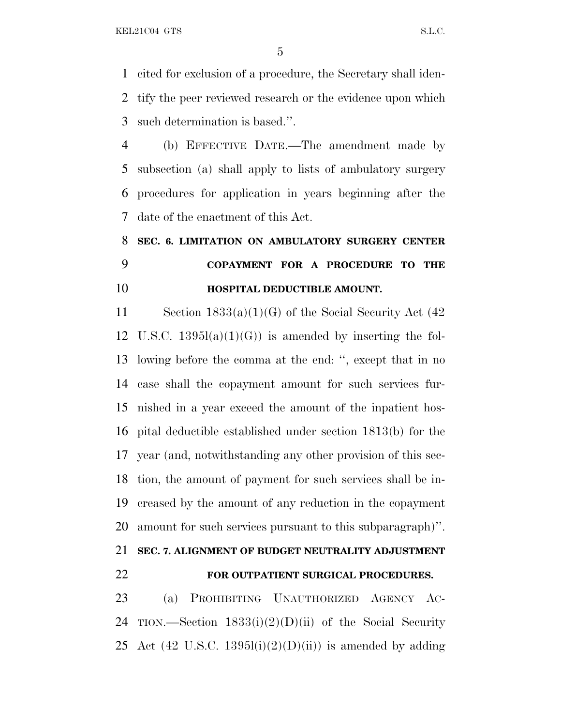cited for exclusion of a procedure, the Secretary shall iden- tify the peer reviewed research or the evidence upon which such determination is based.''.

 (b) EFFECTIVE DATE.—The amendment made by subsection (a) shall apply to lists of ambulatory surgery procedures for application in years beginning after the date of the enactment of this Act.

# **SEC. 6. LIMITATION ON AMBULATORY SURGERY CENTER COPAYMENT FOR A PROCEDURE TO THE HOSPITAL DEDUCTIBLE AMOUNT.**

 Section 1833(a)(1)(G) of the Social Security Act (42 12 U.S.C.  $1395l(a)(1)(G)$  is amended by inserting the fol- lowing before the comma at the end: '', except that in no case shall the copayment amount for such services fur- nished in a year exceed the amount of the inpatient hos- pital deductible established under section 1813(b) for the year (and, notwithstanding any other provision of this sec- tion, the amount of payment for such services shall be in- creased by the amount of any reduction in the copayment amount for such services pursuant to this subparagraph)''.

**SEC. 7. ALIGNMENT OF BUDGET NEUTRALITY ADJUSTMENT**

#### **FOR OUTPATIENT SURGICAL PROCEDURES.**

 (a) PROHIBITING UNAUTHORIZED AGENCY AC-24 TION.—Section  $1833(i)(2)(D)(ii)$  of the Social Security 25 Act (42 U.S.C. 1395 $(i)(2)(D)(ii)$ ) is amended by adding